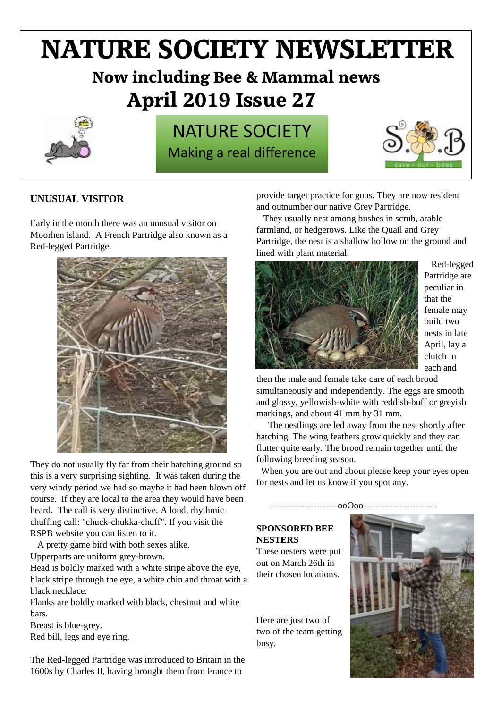# **NATURE SOCIETY NEWSLETTER**

# **Now including Bee & Mammal news April 2019 Issue 27**



# NATURE SOCIETY Making a real difference



# **UNUSUAL VISITOR**

Early in the month there was an unusual visitor on Moorhen island. A French Partridge also known as a Red-legged Partridge.



They do not usually fly far from their hatching ground so this is a very surprising sighting. It was taken during the very windy period we had so maybe it had been blown off course. If they are local to the area they would have been heard. The call is very distinctive. A loud, rhythmic chuffing call: "chuck-chukka-chuff". If you visit the RSPB website you can listen to it.

A pretty game bird with both sexes alike.

Upperparts are uniform grey-brown.

Head is boldly marked with a white stripe above the eye, black stripe through the eye, a white chin and throat with a black necklace.

Flanks are boldly marked with black, chestnut and white bars.

Breast is blue-grey. Red bill, legs and eye ring.

The Red-legged Partridge was introduced to Britain in the 1600s by Charles II, having brought them from France to

provide target practice for guns. They are now resident and outnumber our native [Grey Partridge.](http://www.garden-birds.co.uk/birds/grey_partridge.html)

 They usually nest among bushes in scrub, arable farmland, or hedgerows. Like the Quail and Grey Partridge, the nest is a shallow hollow on the ground and lined with plant material.



 Red-legged Partridge are peculiar in that the female may build two nests in late April, lay a clutch in each and

then the male and female take care of each brood simultaneously and independently. The eggs are smooth and glossy, yellowish-white with reddish-buff or greyish markings, and about 41 mm by 31 mm.

 The nestlings are led away from the nest shortly after hatching. The wing feathers grow quickly and they can flutter quite early. The brood remain together until the following breeding season.

 When you are out and about please keep your eyes open for nests and let us know if you spot any.

 $-00000$ 

## **SPONSORED BEE NESTERS**

These nesters were put out on March 26th in their chosen locations.

Here are just two of two of the team getting busy.

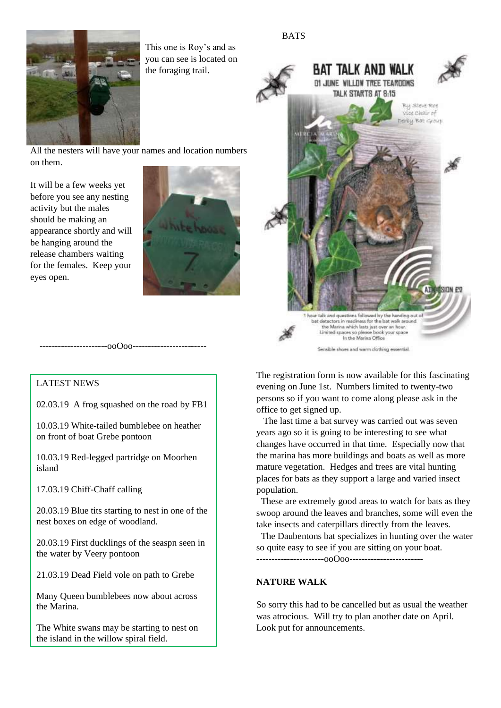



This one is Roy's and as you can see is located on the foraging trail.

All the nesters will have your names and location numbers on them.

It will be a few weeks yet before you see any nesting activity but the males should be making an appearance shortly and will be hanging around the release chambers waiting for the females. Keep your eyes open.





# LATEST NEWS

02.03.19 A frog squashed on the road by FB1

----------------------ooOoo------------------------

10.03.19 White-tailed bumblebee on heather on front of boat Grebe pontoon

10.03.19 Red-legged partridge on Moorhen island

17.03.19 Chiff-Chaff calling

20.03.19 Blue tits starting to nest in one of the nest boxes on edge of woodland.

20.03.19 First ducklings of the seaspn seen in the water by Veery pontoon

21.03.19 Dead Field vole on path to Grebe

Many Queen bumblebees now about across the Marina.

The White swans may be starting to nest on the island in the willow spiral field.

The registration form is now available for this fascinating evening on June 1st. Numbers limited to twenty-two persons so if you want to come along please ask in the office to get signed up.

 The last time a bat survey was carried out was seven years ago so it is going to be interesting to see what changes have occurred in that time. Especially now that the marina has more buildings and boats as well as more mature vegetation. Hedges and trees are vital hunting places for bats as they support a large and varied insect population.

 These are extremely good areas to watch for bats as they swoop around the leaves and branches, some will even the take insects and caterpillars directly from the leaves.

 The Daubentons bat specializes in hunting over the water so quite easy to see if you are sitting on your boat. ----------------------ooOoo------------------------

#### **NATURE WALK**

So sorry this had to be cancelled but as usual the weather was atrocious. Will try to plan another date on April. Look put for announcements.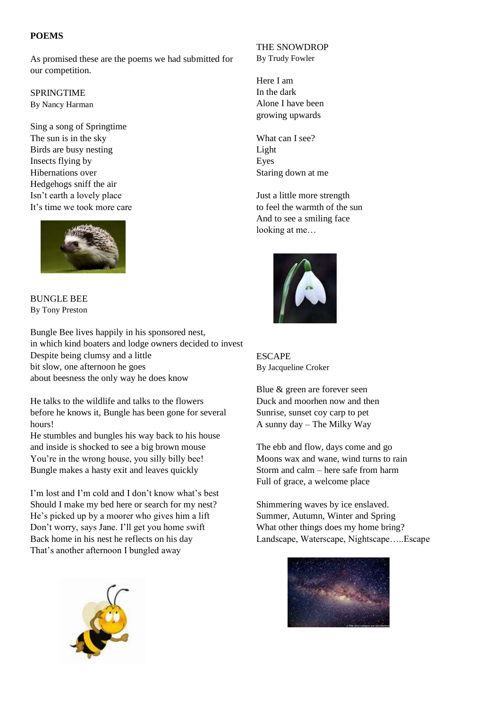#### **POEMS**

As promised these are the poems we had submitted for our competition.

SPRINGTIME By Nancy Harman

Sing a song of Springtime The sun is in the sky Birds are busy nesting Insects flying by Hibernations over Hedgehogs sniff the air Isn't earth a lovely place It's time we took more care



BUNGLE BEE By Tony Preston

Bungle Bee lives happily in his sponsored nest, in which kind boaters and lodge owners decided to invest Despite being clumsy and a little bit slow, one afternoon he goes about beesness the only way he does know

He talks to the wildlife and talks to the flowers before he knows it, Bungle has been gone for several hours!

He stumbles and bungles his way back to his house and inside is shocked to see a big brown mouse You're in the wrong house, you silly billy bee! Bungle makes a hasty exit and leaves quickly

I'm lost and I'm cold and I don't know what's best Should I make my bed here or search for my nest? He's picked up by a moorer who gives him a lift Don't worry, says Jane. I'll get you home swift Back home in his nest he reflects on his day That's another afternoon I bungled away



#### THE SNOWDROP By Trudy Fowler

Here I am In the dark Alone I have been growing upwards

What can I see? Light Eyes Staring down at me

Just a little more strength to feel the warmth of the sun And to see a smiling face looking at me…



ESCAPE By Jacqueline Croker

Blue & green are forever seen Duck and moorhen now and then Sunrise, sunset coy carp to pet A sunny day – The Milky Way

The ebb and flow, days come and go Moons wax and wane, wind turns to rain Storm and calm – here safe from harm Full of grace, a welcome place

Shimmering waves by ice enslaved. Summer, Autumn, Winter and Spring What other things does my home bring? Landscape, Waterscape, Nightscape…..Escape